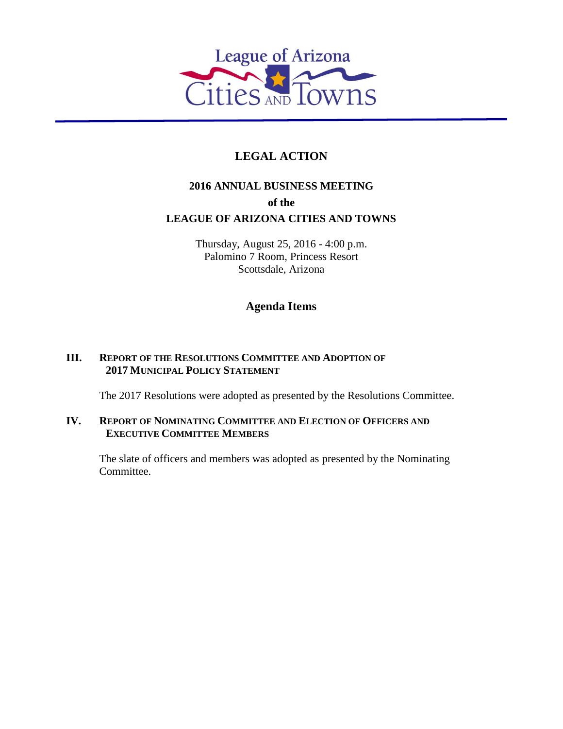

# **LEGAL ACTION**

## **2016 ANNUAL BUSINESS MEETING of the LEAGUE OF ARIZONA CITIES AND TOWNS**

Thursday, August 25, 2016 - 4:00 p.m. Palomino 7 Room, Princess Resort Scottsdale, Arizona

### **Agenda Items**

### **III. REPORT OF THE RESOLUTIONS COMMITTEE AND ADOPTION OF 2017 MUNICIPAL POLICY STATEMENT**

The 2017 Resolutions were adopted as presented by the Resolutions Committee.

### **IV. REPORT OF NOMINATING COMMITTEE AND ELECTION OF OFFICERS AND EXECUTIVE COMMITTEE MEMBERS**

The slate of officers and members was adopted as presented by the Nominating Committee.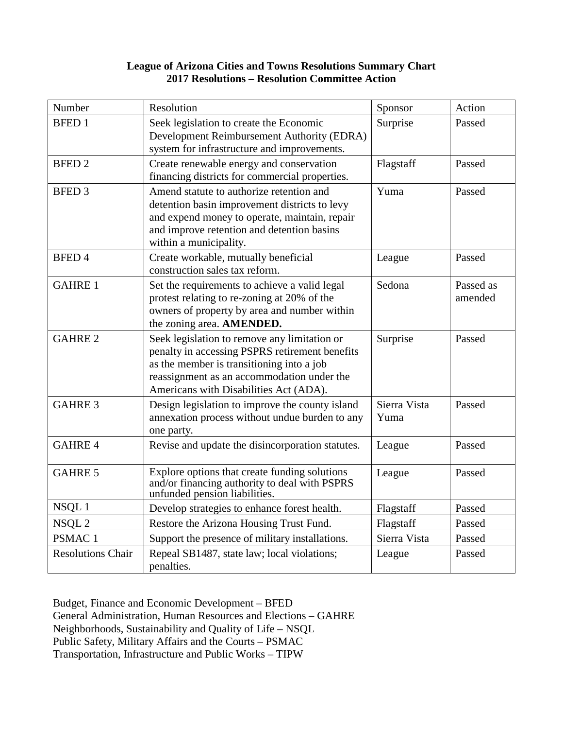### **League of Arizona Cities and Towns Resolutions Summary Chart 2017 Resolutions – Resolution Committee Action**

| Number                   | Resolution                                                                                                                                                                                                                          | Sponsor              | Action               |
|--------------------------|-------------------------------------------------------------------------------------------------------------------------------------------------------------------------------------------------------------------------------------|----------------------|----------------------|
| <b>BFED1</b>             | Seek legislation to create the Economic<br>Development Reimbursement Authority (EDRA)<br>system for infrastructure and improvements.                                                                                                | Surprise             | Passed               |
| <b>BFED 2</b>            | Create renewable energy and conservation<br>financing districts for commercial properties.                                                                                                                                          | Flagstaff            | Passed               |
| <b>BFED 3</b>            | Amend statute to authorize retention and<br>detention basin improvement districts to levy<br>and expend money to operate, maintain, repair<br>and improve retention and detention basins<br>within a municipality.                  | Yuma                 | Passed               |
| <b>BFED4</b>             | Create workable, mutually beneficial<br>construction sales tax reform.                                                                                                                                                              | League               | Passed               |
| <b>GAHRE 1</b>           | Set the requirements to achieve a valid legal<br>protest relating to re-zoning at 20% of the<br>owners of property by area and number within<br>the zoning area. AMENDED.                                                           | Sedona               | Passed as<br>amended |
| <b>GAHRE 2</b>           | Seek legislation to remove any limitation or<br>penalty in accessing PSPRS retirement benefits<br>as the member is transitioning into a job<br>reassignment as an accommodation under the<br>Americans with Disabilities Act (ADA). | Surprise             | Passed               |
| <b>GAHRE 3</b>           | Design legislation to improve the county island<br>annexation process without undue burden to any<br>one party.                                                                                                                     | Sierra Vista<br>Yuma | Passed               |
| <b>GAHRE4</b>            | Revise and update the disincorporation statutes.                                                                                                                                                                                    | League               | Passed               |
| <b>GAHRE 5</b>           | Explore options that create funding solutions<br>and/or financing authority to deal with PSPRS<br>unfunded pension liabilities.                                                                                                     | League               | Passed               |
| NSQL1                    | Develop strategies to enhance forest health.                                                                                                                                                                                        | Flagstaff            | Passed               |
| NSQL <sub>2</sub>        | Restore the Arizona Housing Trust Fund.                                                                                                                                                                                             | Flagstaff            | Passed               |
| PSMAC <sub>1</sub>       | Support the presence of military installations.                                                                                                                                                                                     | Sierra Vista         | Passed               |
| <b>Resolutions Chair</b> | Repeal SB1487, state law; local violations;<br>penalties.                                                                                                                                                                           | League               | Passed               |

Budget, Finance and Economic Development – BFED General Administration, Human Resources and Elections – GAHRE Neighborhoods, Sustainability and Quality of Life – NSQL Public Safety, Military Affairs and the Courts – PSMAC Transportation, Infrastructure and Public Works – TIPW